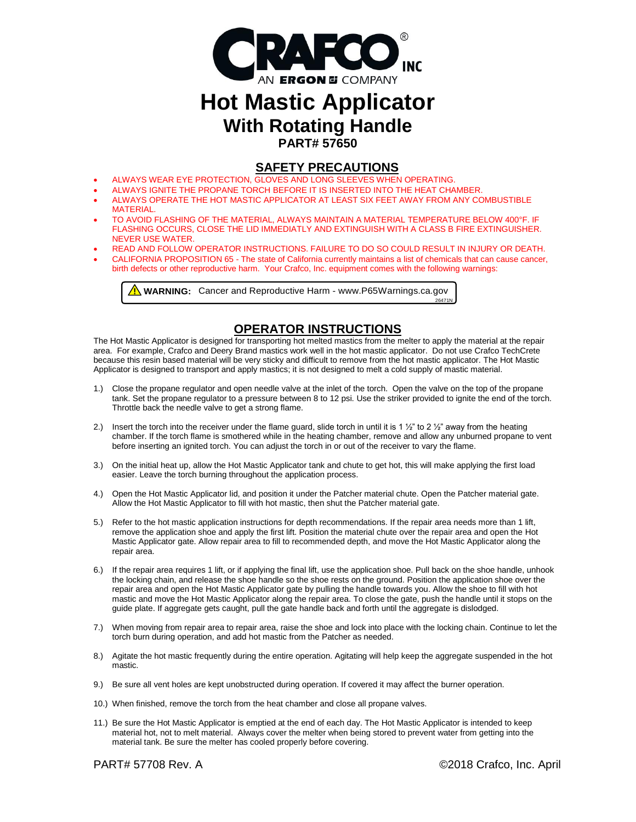

# **Hot Mastic Applicator With Rotating Handle PART# 57650**

#### **SAFETY PRECAUTIONS**

- ALWAYS WEAR EYE PROTECTION, GLOVES AND LONG SLEEVES WHEN OPERATING.
- ALWAYS IGNITE THE PROPANE TORCH BEFORE IT IS INSERTED INTO THE HEAT CHAMBER.
- ALWAYS OPERATE THE HOT MASTIC APPLICATOR AT LEAST SIX FEET AWAY FROM ANY COMBUSTIBLE MATERIAL.
- TO AVOID FLASHING OF THE MATERIAL, ALWAYS MAINTAIN A MATERIAL TEMPERATURE BELOW 400°F. IF FLASHING OCCURS, CLOSE THE LID IMMEDIATLY AND EXTINGUISH WITH A CLASS B FIRE EXTINGUISHER. NEVER USE WATER.
- READ AND FOLLOW OPERATOR INSTRUCTIONS. FAILURE TO DO SO COULD RESULT IN INJURY OR DEATH.
- CALIFORNIA PROPOSITION 65 The state of California currently maintains a list of chemicals that can cause cancer, birth defects or other reproductive harm. Your Crafco, Inc. equipment comes with the following warnings:

26471N

**A** WARNING: Cancer and Reproductive Harm - www.P65Warnings.ca.gov

# **OPERATOR INSTRUCTIONS**

The Hot Mastic Applicator is designed for transporting hot melted mastics from the melter to apply the material at the repair area. For example, Crafco and Deery Brand mastics work well in the hot mastic applicator. Do not use Crafco TechCrete because this resin based material will be very sticky and difficult to remove from the hot mastic applicator. The Hot Mastic Applicator is designed to transport and apply mastics; it is not designed to melt a cold supply of mastic material.

- 1.) Close the propane regulator and open needle valve at the inlet of the torch. Open the valve on the top of the propane tank. Set the propane regulator to a pressure between 8 to 12 psi. Use the striker provided to ignite the end of the torch. Throttle back the needle valve to get a strong flame.
- 2.) Insert the torch into the receiver under the flame guard, slide torch in until it is 1  $\frac{1}{2}$ " to 2  $\frac{1}{2}$ " away from the heating chamber. If the torch flame is smothered while in the heating chamber, remove and allow any unburned propane to vent before inserting an ignited torch. You can adjust the torch in or out of the receiver to vary the flame.
- 3.) On the initial heat up, allow the Hot Mastic Applicator tank and chute to get hot, this will make applying the first load easier. Leave the torch burning throughout the application process.
- 4.) Open the Hot Mastic Applicator lid, and position it under the Patcher material chute. Open the Patcher material gate. Allow the Hot Mastic Applicator to fill with hot mastic, then shut the Patcher material gate.
- 5.) Refer to the hot mastic application instructions for depth recommendations. If the repair area needs more than 1 lift, remove the application shoe and apply the first lift. Position the material chute over the repair area and open the Hot Mastic Applicator gate. Allow repair area to fill to recommended depth, and move the Hot Mastic Applicator along the repair area.
- 6.) If the repair area requires 1 lift, or if applying the final lift, use the application shoe. Pull back on the shoe handle, unhook the locking chain, and release the shoe handle so the shoe rests on the ground. Position the application shoe over the repair area and open the Hot Mastic Applicator gate by pulling the handle towards you. Allow the shoe to fill with hot mastic and move the Hot Mastic Applicator along the repair area. To close the gate, push the handle until it stops on the guide plate. If aggregate gets caught, pull the gate handle back and forth until the aggregate is dislodged.
- 7.) When moving from repair area to repair area, raise the shoe and lock into place with the locking chain. Continue to let the torch burn during operation, and add hot mastic from the Patcher as needed.
- 8.) Agitate the hot mastic frequently during the entire operation. Agitating will help keep the aggregate suspended in the hot mastic.
- 9.) Be sure all vent holes are kept unobstructed during operation. If covered it may affect the burner operation.
- 10.) When finished, remove the torch from the heat chamber and close all propane valves.
- 11.) Be sure the Hot Mastic Applicator is emptied at the end of each day. The Hot Mastic Applicator is intended to keep material hot, not to melt material. Always cover the melter when being stored to prevent water from getting into the material tank. Be sure the melter has cooled properly before covering.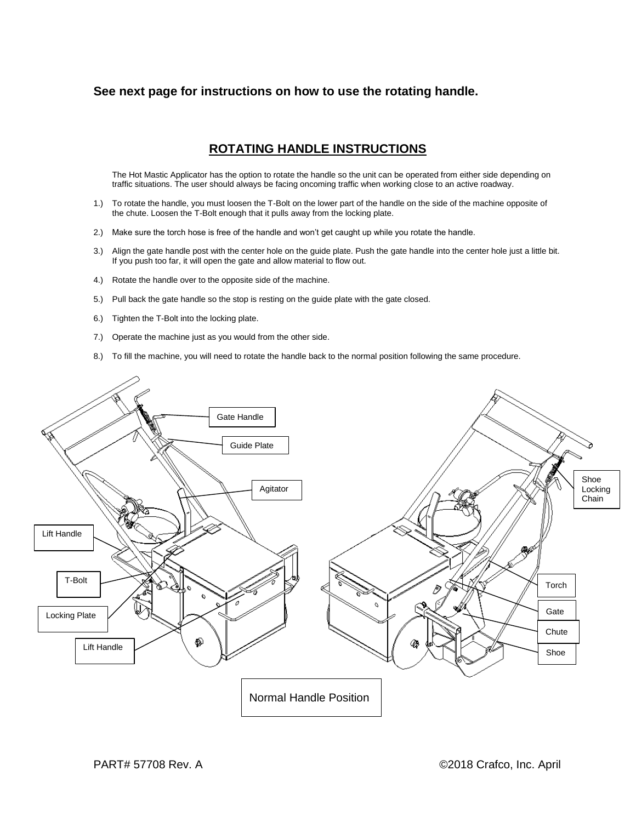### **See next page for instructions on how to use the rotating handle.**

# **ROTATING HANDLE INSTRUCTIONS**

The Hot Mastic Applicator has the option to rotate the handle so the unit can be operated from either side depending on traffic situations. The user should always be facing oncoming traffic when working close to an active roadway.

- 1.) To rotate the handle, you must loosen the T-Bolt on the lower part of the handle on the side of the machine opposite of the chute. Loosen the T-Bolt enough that it pulls away from the locking plate.
- 2.) Make sure the torch hose is free of the handle and won't get caught up while you rotate the handle.
- 3.) Align the gate handle post with the center hole on the guide plate. Push the gate handle into the center hole just a little bit. If you push too far, it will open the gate and allow material to flow out.
- 4.) Rotate the handle over to the opposite side of the machine.
- 5.) Pull back the gate handle so the stop is resting on the guide plate with the gate closed.
- 6.) Tighten the T-Bolt into the locking plate.
- 7.) Operate the machine just as you would from the other side.
- 8.) To fill the machine, you will need to rotate the handle back to the normal position following the same procedure.